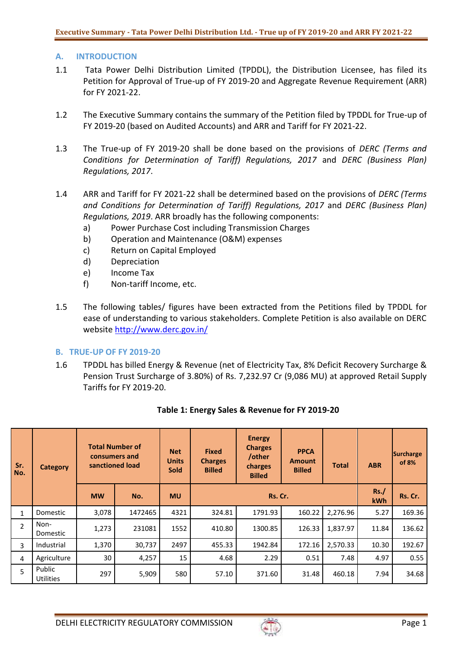## **A. INTRODUCTION**

- 1.1 Tata Power Delhi Distribution Limited (TPDDL), the Distribution Licensee, has filed its Petition for Approval of True-up of FY 2019-20 and Aggregate Revenue Requirement (ARR) for FY 2021-22.
- 1.2 The Executive Summary contains the summary of the Petition filed by TPDDL for True-up of FY 2019-20 (based on Audited Accounts) and ARR and Tariff for FY 2021-22.
- 1.3 The True-up of FY 2019-20 shall be done based on the provisions of *DERC (Terms and Conditions for Determination of Tariff) Regulations, 2017* and *DERC (Business Plan) Regulations, 2017*.
- 1.4 ARR and Tariff for FY 2021-22 shall be determined based on the provisions of *DERC (Terms and Conditions for Determination of Tariff) Regulations, 2017* and *DERC (Business Plan) Regulations, 2019*. ARR broadly has the following components:
	- a) Power Purchase Cost including Transmission Charges
	- b) Operation and Maintenance (O&M) expenses
	- c) Return on Capital Employed
	- d) Depreciation
	- e) Income Tax
	- f) Non-tariff Income, etc.
- 1.5 The following tables/ figures have been extracted from the Petitions filed by TPDDL for ease of understanding to various stakeholders. Complete Petition is also available on DERC website<http://www.derc.gov.in/>

#### **B. TRUE-UP OF FY 2019-20**

1.6 TPDDL has billed Energy & Revenue (net of Electricity Tax, 8% Deficit Recovery Surcharge & Pension Trust Surcharge of 3.80%) of Rs. 7,232.97 Cr (9,086 MU) at approved Retail Supply Tariffs for FY 2019-20.

| Sr.<br>No.     | Category                   | <b>Total Number of</b><br>consumers and<br>sanctioned load |                             | <b>Net</b><br><b>Units</b><br><b>Sold</b> | <b>Fixed</b><br><b>Charges</b><br><b>Billed</b> | <b>Energy</b><br><b>Charges</b><br>/other<br>charges<br><b>Billed</b> | <b>PPCA</b><br><b>Amount</b><br><b>Billed</b> | Total    | <b>ABR</b> | Surcharge<br>of 8% |
|----------------|----------------------------|------------------------------------------------------------|-----------------------------|-------------------------------------------|-------------------------------------------------|-----------------------------------------------------------------------|-----------------------------------------------|----------|------------|--------------------|
|                |                            | <b>MW</b>                                                  | <b>MU</b><br>Rs. Cr.<br>No. |                                           |                                                 | Rs.<br><b>kWh</b>                                                     | Rs. Cr.                                       |          |            |                    |
| $\mathbf{1}$   | Domestic                   | 3,078                                                      | 1472465                     | 4321                                      | 324.81                                          | 1791.93                                                               | 160.22                                        | 2,276.96 | 5.27       | 169.36             |
| $\overline{2}$ | Non-<br>Domestic           | 1,273                                                      | 231081                      | 1552                                      | 410.80                                          | 1300.85                                                               | 126.33                                        | 1.837.97 | 11.84      | 136.62             |
| 3              | Industrial                 | 1,370                                                      | 30,737                      | 2497                                      | 455.33                                          | 1942.84                                                               | 172.16                                        | 2,570.33 | 10.30      | 192.67             |
| 4              | Agriculture                | 30                                                         | 4,257                       | 15                                        | 4.68                                            | 2.29                                                                  | 0.51                                          | 7.48     | 4.97       | 0.55               |
| 5              | Public<br><b>Utilities</b> | 297                                                        | 5,909                       | 580                                       | 57.10                                           | 371.60                                                                | 31.48                                         | 460.18   | 7.94       | 34.68              |

# **Table 1: Energy Sales & Revenue for FY 2019-20**

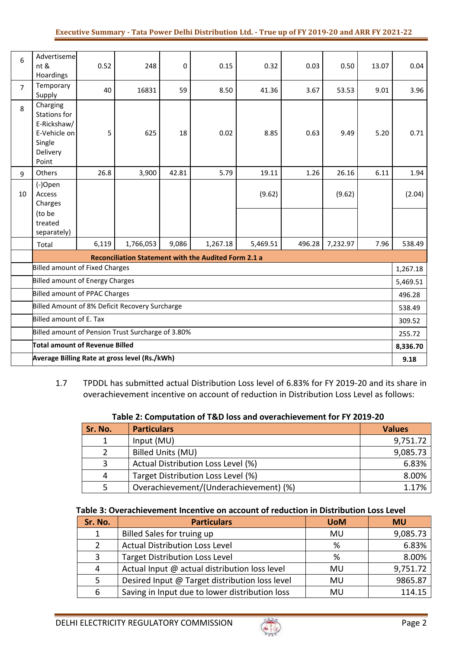| 6              | Advertiseme<br>nt &<br>Hoardings                                                              | 0.52  | 248                                           | 0     | 0.15     | 0.32     | 0.03   | 0.50     | 13.07    | 0.04     |
|----------------|-----------------------------------------------------------------------------------------------|-------|-----------------------------------------------|-------|----------|----------|--------|----------|----------|----------|
| $\overline{7}$ | Temporary<br>Supply                                                                           | 40    | 16831                                         | 59    | 8.50     | 41.36    | 3.67   | 53.53    | 9.01     | 3.96     |
| 8              | Charging<br><b>Stations for</b><br>E-Rickshaw/<br>E-Vehicle on<br>Single<br>Delivery<br>Point | 5     | 625                                           | 18    | 0.02     | 8.85     | 0.63   | 9.49     | 5.20     | 0.71     |
| 9              | Others                                                                                        | 26.8  | 3,900                                         | 42.81 | 5.79     | 19.11    | 1.26   | 26.16    | 6.11     | 1.94     |
| 10             | (-)Open<br>Access<br>Charges<br>(to be<br>treated                                             |       |                                               |       |          | (9.62)   |        | (9.62)   |          | (2.04)   |
|                | separately)                                                                                   |       |                                               |       |          |          |        |          |          |          |
|                | Total                                                                                         | 6,119 | 1,766,053                                     | 9,086 | 1,267.18 | 5,469.51 | 496.28 | 7,232.97 | 7.96     | 538.49   |
|                | Reconciliation Statement with the Audited Form 2.1 a                                          |       |                                               |       |          |          |        |          |          |          |
|                | <b>Billed amount of Fixed Charges</b>                                                         |       |                                               |       |          |          |        |          | 1,267.18 |          |
|                | <b>Billed amount of Energy Charges</b>                                                        |       |                                               |       |          |          |        |          | 5,469.51 |          |
|                | <b>Billed amount of PPAC Charges</b>                                                          |       |                                               |       |          |          |        |          | 496.28   |          |
|                | Billed Amount of 8% Deficit Recovery Surcharge                                                |       |                                               |       |          |          |        |          | 538.49   |          |
|                | Billed amount of E. Tax                                                                       |       |                                               |       |          |          |        |          | 309.52   |          |
|                | Billed amount of Pension Trust Surcharge of 3.80%                                             |       |                                               |       |          |          |        |          |          | 255.72   |
|                | <b>Total amount of Revenue Billed</b>                                                         |       |                                               |       |          |          |        |          |          | 8,336.70 |
|                |                                                                                               |       | Average Billing Rate at gross level (Rs./kWh) |       |          |          |        |          |          | 9.18     |

1.7 TPDDL has submitted actual Distribution Loss level of 6.83% for FY 2019-20 and its share in overachievement incentive on account of reduction in Distribution Loss Level as follows:

| Table 2: Computation of T&D loss and overachievement for FY 2019-20 |
|---------------------------------------------------------------------|
|---------------------------------------------------------------------|

| Sr. No. | <b>Particulars</b>                     | <b>Values</b> |
|---------|----------------------------------------|---------------|
|         | Input (MU)                             | 9,751.72      |
|         | <b>Billed Units (MU)</b>               | 9,085.73      |
|         | Actual Distribution Loss Level (%)     | 6.83%         |
|         | Target Distribution Loss Level (%)     | 8.00%         |
|         | Overachievement/(Underachievement) (%) | 1.17%         |

#### **Table 3: Overachievement Incentive on account of reduction in Distribution Loss Level**

| Sr. No.      | <b>Particulars</b>                             | <b>UoM</b> | <b>MU</b> |
|--------------|------------------------------------------------|------------|-----------|
| $\mathbf{1}$ | Billed Sales for truing up                     | MU         | 9,085.73  |
| 2            | <b>Actual Distribution Loss Level</b>          | %          | 6.83%     |
| 3            | <b>Target Distribution Loss Level</b>          | %          | 8.00%     |
| 4            | Actual Input @ actual distribution loss level  | <b>MU</b>  | 9,751.72  |
| 5            | Desired Input @ Target distribution loss level | MU         | 9865.87   |
| 6            | Saving in Input due to lower distribution loss | MU         | 114.15    |

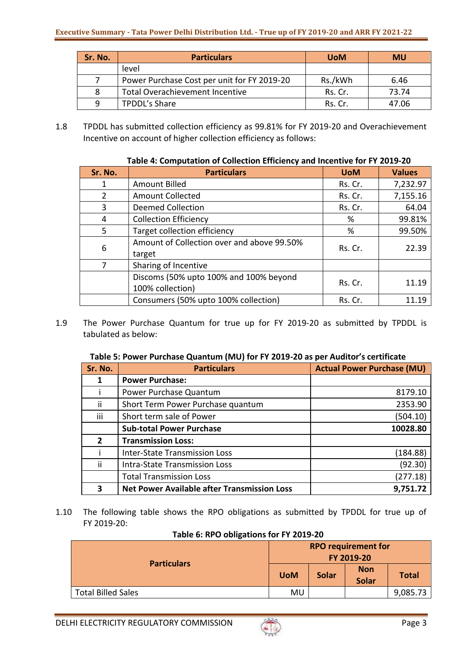| Sr. No. | <b>Particulars</b>                          | <b>UoM</b> | <b>MU</b> |
|---------|---------------------------------------------|------------|-----------|
|         | level                                       |            |           |
|         | Power Purchase Cost per unit for FY 2019-20 | Rs./kWh    | 6.46      |
| 8       | <b>Total Overachievement Incentive</b>      | Rs. Cr.    | 73.74     |
| q       | <b>TPDDL's Share</b>                        | Rs. Cr.    | 47.06     |

1.8 TPDDL has submitted collection efficiency as 99.81% for FY 2019-20 and Overachievement Incentive on account of higher collection efficiency as follows:

|         | Table 4. Computation of Conection Emiclency and incentive for FT 2015-20 |            |               |  |  |  |  |  |
|---------|--------------------------------------------------------------------------|------------|---------------|--|--|--|--|--|
| Sr. No. | <b>Particulars</b>                                                       | <b>UoM</b> | <b>Values</b> |  |  |  |  |  |
| 1       | Amount Billed                                                            | Rs. Cr.    | 7,232.97      |  |  |  |  |  |
| 2       | <b>Amount Collected</b>                                                  | Rs. Cr.    | 7,155.16      |  |  |  |  |  |
| 3       | <b>Deemed Collection</b>                                                 | Rs. Cr.    | 64.04         |  |  |  |  |  |
| 4       | <b>Collection Efficiency</b>                                             | %          | 99.81%        |  |  |  |  |  |
| 5       | Target collection efficiency                                             | %          | 99.50%        |  |  |  |  |  |
| 6       | Amount of Collection over and above 99.50%<br>target                     | Rs. Cr.    | 22.39         |  |  |  |  |  |
| 7       | Sharing of Incentive                                                     |            |               |  |  |  |  |  |
|         | Discoms (50% upto 100% and 100% beyond<br>100% collection)               | Rs. Cr.    | 11.19         |  |  |  |  |  |
|         | Consumers (50% upto 100% collection)                                     | Rs. Cr.    | 11.19         |  |  |  |  |  |

# **Table 4: Computation of Collection Efficiency and Incentive for FY 2019-20**

1.9 The Power Purchase Quantum for true up for FY 2019-20 as submitted by TPDDL is tabulated as below:

## **Table 5: Power Purchase Quantum (MU) for FY 2019-20 as per Auditor's certificate**

| Sr. No. | <b>Particulars</b>                                 | <b>Actual Power Purchase (MU)</b> |
|---------|----------------------------------------------------|-----------------------------------|
|         | <b>Power Purchase:</b>                             |                                   |
|         | Power Purchase Quantum                             | 8179.10                           |
| ii.     | Short Term Power Purchase quantum                  | 2353.90                           |
| iii     | Short term sale of Power                           | (504.10)                          |
|         | <b>Sub-total Power Purchase</b>                    | 10028.80                          |
| 2       | <b>Transmission Loss:</b>                          |                                   |
|         | <b>Inter-State Transmission Loss</b>               | (184.88)                          |
| ii.     | <b>Intra-State Transmission Loss</b>               | (92.30)                           |
|         | <b>Total Transmission Loss</b>                     | (277.18)                          |
|         | <b>Net Power Available after Transmission Loss</b> | 9,751.72                          |

1.10 The following table shows the RPO obligations as submitted by TPDDL for true up of FY 2019-20:

|  | Table 6: RPO obligations for FY 2019-20 |  |  |
|--|-----------------------------------------|--|--|
|--|-----------------------------------------|--|--|

|                           | <b>RPO requirement for</b><br>FY 2019-20 |              |                            |              |
|---------------------------|------------------------------------------|--------------|----------------------------|--------------|
| <b>Particulars</b>        | <b>UoM</b>                               | <b>Solar</b> | <b>Non</b><br><b>Solar</b> | <b>Total</b> |
| <b>Total Billed Sales</b> | MU                                       |              |                            | 9,085.73     |

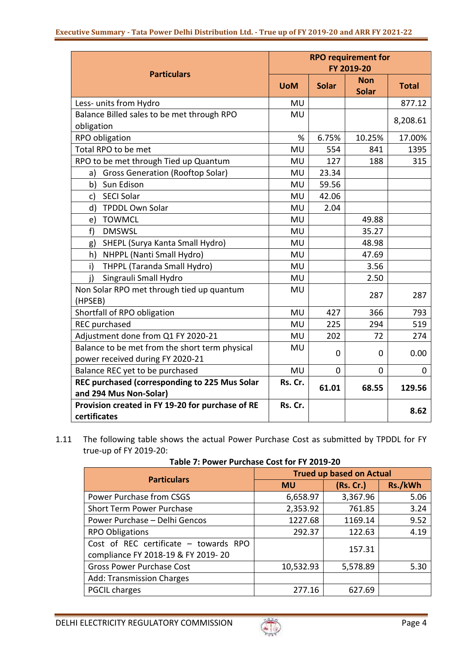| <b>RPO requirement for</b><br>FY 2019-20 |              |                            |              |
|------------------------------------------|--------------|----------------------------|--------------|
| <b>UoM</b>                               | <b>Solar</b> | <b>Non</b><br><b>Solar</b> | <b>Total</b> |
| MU                                       |              |                            | 877.12       |
| <b>MU</b>                                |              |                            | 8,208.61     |
|                                          |              |                            |              |
| %                                        | 6.75%        | 10.25%                     | 17.00%       |
| MU                                       | 554          | 841                        | 1395         |
| MU                                       | 127          | 188                        | 315          |
| MU                                       | 23.34        |                            |              |
| MU                                       | 59.56        |                            |              |
| <b>MU</b>                                | 42.06        |                            |              |
| MU                                       | 2.04         |                            |              |
| MU                                       |              | 49.88                      |              |
| MU                                       |              | 35.27                      |              |
| <b>MU</b>                                |              | 48.98                      |              |
| <b>MU</b>                                |              | 47.69                      |              |
| <b>MU</b>                                |              | 3.56                       |              |
| <b>MU</b>                                |              | 2.50                       |              |
| MU                                       |              | 287                        | 287          |
| <b>MU</b>                                | 427          | 366                        | 793          |
| <b>MU</b>                                | 225          | 294                        | 519          |
| MU                                       | 202          | 72                         | 274          |
| MU                                       | 0            | 0                          | 0.00         |
| <b>MU</b>                                | $\mathbf 0$  | 0                          | 0            |
| Rs. Cr.                                  | 61.01        | 68.55                      | 129.56       |
| Rs. Cr.                                  |              |                            | 8.62         |
|                                          |              |                            |              |

1.11 The following table shows the actual Power Purchase Cost as submitted by TPDDL for FY true-up of FY 2019-20:

| <b>Particulars</b>                                                            | <b>Trued up based on Actual</b> |           |         |  |  |
|-------------------------------------------------------------------------------|---------------------------------|-----------|---------|--|--|
|                                                                               | <b>MU</b>                       | (Rs. Cr.) | Rs./kWh |  |  |
| Power Purchase from CSGS                                                      | 6,658.97                        | 3,367.96  | 5.06    |  |  |
| <b>Short Term Power Purchase</b>                                              | 2,353.92                        | 761.85    | 3.24    |  |  |
| Power Purchase - Delhi Gencos                                                 | 1227.68                         | 1169.14   | 9.52    |  |  |
| <b>RPO Obligations</b>                                                        | 292.37                          | 122.63    | 4.19    |  |  |
| Cost of REC certificate $-$ towards RPO<br>compliance FY 2018-19 & FY 2019-20 |                                 | 157.31    |         |  |  |
| <b>Gross Power Purchase Cost</b>                                              | 10,532.93                       | 5,578.89  | 5.30    |  |  |
| <b>Add: Transmission Charges</b>                                              |                                 |           |         |  |  |
| <b>PGCIL charges</b>                                                          | 277.16                          | 627.69    |         |  |  |

**Table 7: Power Purchase Cost for FY 2019-20**

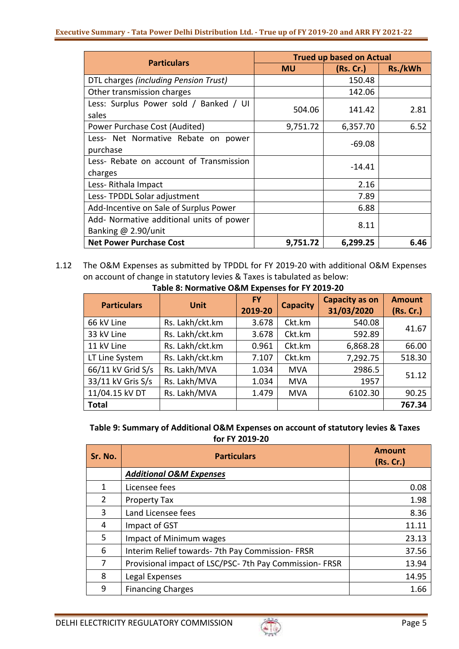#### **Executive Summary - Tata Power Delhi Distribution Ltd. - True up of FY 2019-20 and ARR FY 2021-22**

| <b>Particulars</b>                                              | <b>Trued up based on Actual</b> |           |         |
|-----------------------------------------------------------------|---------------------------------|-----------|---------|
|                                                                 | <b>MU</b>                       | (Rs. Cr.) | Rs./kWh |
| DTL charges (including Pension Trust)                           |                                 | 150.48    |         |
| Other transmission charges                                      |                                 | 142.06    |         |
| Less: Surplus Power sold / Banked / UI<br>sales                 | 504.06                          | 141.42    | 2.81    |
| Power Purchase Cost (Audited)                                   | 9,751.72                        | 6,357.70  | 6.52    |
| Less- Net Normative Rebate on power<br>purchase                 |                                 | $-69.08$  |         |
| Less- Rebate on account of Transmission<br>charges              |                                 | $-14.41$  |         |
| Less-Rithala Impact                                             |                                 | 2.16      |         |
| Less-TPDDL Solar adjustment                                     |                                 | 7.89      |         |
| Add-Incentive on Sale of Surplus Power                          |                                 | 6.88      |         |
| Add- Normative additional units of power<br>Banking @ 2.90/unit |                                 | 8.11      |         |
| <b>Net Power Purchase Cost</b>                                  | 9,751.72                        | 6,299.25  | 6.46    |

1.12 The O&M Expenses as submitted by TPDDL for FY 2019-20 with additional O&M Expenses on account of change in statutory levies & Taxes is tabulated as below:

| <b>Particulars</b> | <b>Unit</b>     | <b>FY</b><br>2019-20 | <b>Capacity</b> | <b>Capacity as on</b><br>31/03/2020 | <b>Amount</b><br>(Rs. Cr.) |
|--------------------|-----------------|----------------------|-----------------|-------------------------------------|----------------------------|
| 66 kV Line         | Rs. Lakh/ckt.km | 3.678                | Ckt.km          | 540.08                              | 41.67                      |
| 33 kV Line         | Rs. Lakh/ckt.km | 3.678                | Ckt.km          | 592.89                              |                            |
| 11 kV Line         | Rs. Lakh/ckt.km | 0.961                | Ckt.km          | 6,868.28                            | 66.00                      |
| LT Line System     | Rs. Lakh/ckt.km | 7.107                | Ckt.km          | 7,292.75                            | 518.30                     |
| 66/11 kV Grid S/s  | Rs. Lakh/MVA    | 1.034                | <b>MVA</b>      | 2986.5                              | 51.12                      |
| 33/11 kV Gris S/s  | Rs. Lakh/MVA    | 1.034                | <b>MVA</b>      | 1957                                |                            |
| 11/04.15 kV DT     | Rs. Lakh/MVA    | 1.479                | <b>MVA</b>      | 6102.30                             | 90.25                      |
| <b>Total</b>       |                 |                      |                 |                                     | 767.34                     |

#### **Table 8: Normative O&M Expenses for FY 2019-20**

# **Table 9: Summary of Additional O&M Expenses on account of statutory levies & Taxes for FY 2019-20**

| Sr. No.        | <b>Particulars</b>                                    | <b>Amount</b><br>(Rs. Cr.) |
|----------------|-------------------------------------------------------|----------------------------|
|                | <b>Additional O&amp;M Expenses</b>                    |                            |
|                | Licensee fees                                         | 0.08                       |
| $\mathcal{P}$  | <b>Property Tax</b>                                   | 1.98                       |
| 3              | Land Licensee fees                                    | 8.36                       |
| 4              | Impact of GST                                         | 11.11                      |
| 5.             | Impact of Minimum wages                               | 23.13                      |
| 6              | Interim Relief towards- 7th Pay Commission- FRSR      | 37.56                      |
| $\overline{7}$ | Provisional impact of LSC/PSC-7th Pay Commission-FRSR | 13.94                      |
| 8              | Legal Expenses                                        | 14.95                      |
| 9              | <b>Financing Charges</b>                              | 1.66                       |

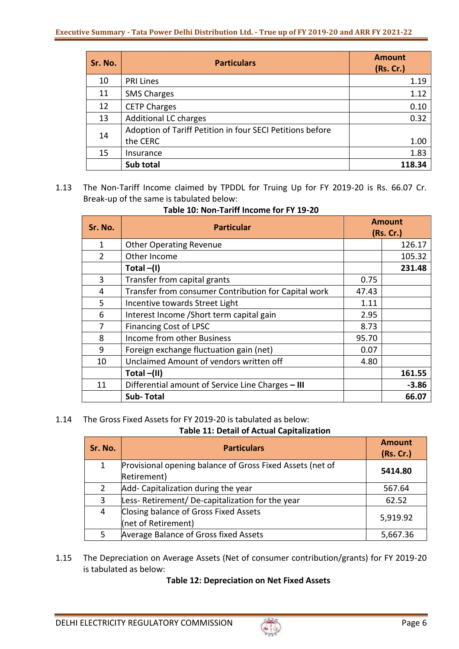| Sr. No. | <b>Particulars</b>                                        | <b>Amount</b><br>(Rs. Cr.) |
|---------|-----------------------------------------------------------|----------------------------|
| 10      | <b>PRI Lines</b>                                          | 1.19                       |
| 11      | <b>SMS Charges</b>                                        | 1.12                       |
| 12      | <b>CETP Charges</b>                                       | 0.10                       |
| 13      | <b>Additional LC charges</b>                              | 0.32                       |
| 14      | Adoption of Tariff Petition in four SECI Petitions before |                            |
|         | the CERC                                                  | 1.00                       |
| 15      | Insurance                                                 | 1.83                       |
|         | Sub total                                                 | 118.34                     |

1.13 The Non-Tariff Income claimed by TPDDL for Truing Up for FY 2019-20 is Rs. 66.07 Cr. Break-up of the same is tabulated below:

| Sr. No.        | <b>Particular</b>                                    |       | <b>Amount</b><br>(Rs. Cr.) |
|----------------|------------------------------------------------------|-------|----------------------------|
| 1              | <b>Other Operating Revenue</b>                       |       | 126.17                     |
| $\overline{2}$ | Other Income                                         |       | 105.32                     |
|                | Total $-(I)$                                         |       | 231.48                     |
| 3              | Transfer from capital grants                         | 0.75  |                            |
| 4              | Transfer from consumer Contribution for Capital work | 47.43 |                            |
| 5              | Incentive towards Street Light                       | 1.11  |                            |
| 6              | Interest Income / Short term capital gain            | 2.95  |                            |
| 7              | <b>Financing Cost of LPSC</b>                        | 8.73  |                            |
| 8              | Income from other Business                           | 95.70 |                            |
| 9              | Foreign exchange fluctuation gain (net)              | 0.07  |                            |
| 10             | Unclaimed Amount of vendors written off              | 4.80  |                            |
|                | Total $-(II)$                                        |       | 161.55                     |
| 11             | Differential amount of Service Line Charges - III    |       | $-3.86$                    |
|                | <b>Sub-Total</b>                                     |       | 66.07                      |

## **Table 10: Non-Tariff Income for FY 19-20**

1.14 The Gross Fixed Assets for FY 2019-20 is tabulated as below:

# **Table 11: Detail of Actual Capitalization**

| Sr. No. | <b>Particulars</b>                                                       | <b>Amount</b><br>(Rs. Cr.) |
|---------|--------------------------------------------------------------------------|----------------------------|
| 1       | Provisional opening balance of Gross Fixed Assets (net of<br>Retirement) | 5414.80                    |
|         | Add- Capitalization during the year                                      | 567.64                     |
| 3       | Less-Retirement/De-capitalization for the year                           | 62.52                      |
| 4       | Closing balance of Gross Fixed Assets<br>(net of Retirement)             | 5,919.92                   |
| 5       | Average Balance of Gross fixed Assets                                    | 5,667.36                   |

1.15 The Depreciation on Average Assets (Net of consumer contribution/grants) for FY 2019-20 is tabulated as below:

# **Table 12: Depreciation on Net Fixed Assets**

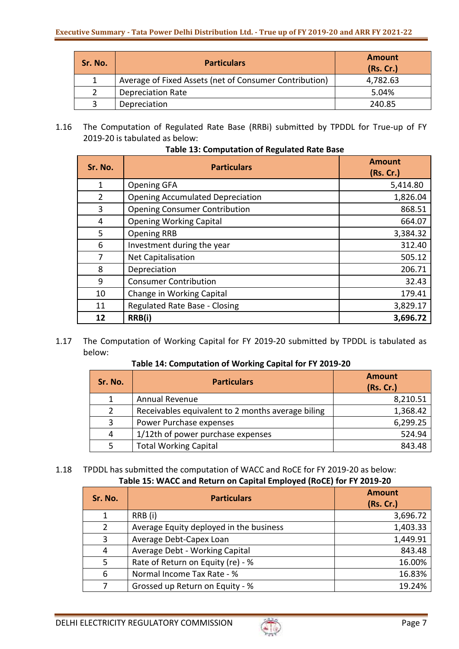| Sr. No. | <b>Particulars</b>                                     | <b>Amount</b><br>(Rs. Cr.) |
|---------|--------------------------------------------------------|----------------------------|
|         | Average of Fixed Assets (net of Consumer Contribution) | 4,782.63                   |
|         | <b>Depreciation Rate</b>                               | 5.04%                      |
|         | Depreciation                                           | 240.85                     |

1.16 The Computation of Regulated Rate Base (RRBi) submitted by TPDDL for True-up of FY 2019-20 is tabulated as below:

| Sr. No. | <b>Particulars</b>                      | <b>Amount</b><br>(Rs. Cr.) |
|---------|-----------------------------------------|----------------------------|
| 1       | <b>Opening GFA</b>                      | 5,414.80                   |
| 2       | <b>Opening Accumulated Depreciation</b> | 1,826.04                   |
| 3       | <b>Opening Consumer Contribution</b>    | 868.51                     |
| 4       | <b>Opening Working Capital</b>          | 664.07                     |
| 5       | <b>Opening RRB</b>                      | 3,384.32                   |
| 6       | Investment during the year              | 312.40                     |
| 7       | Net Capitalisation                      | 505.12                     |
| 8       | Depreciation                            | 206.71                     |
| 9       | <b>Consumer Contribution</b>            | 32.43                      |
| 10      | Change in Working Capital               | 179.41                     |
| 11      | <b>Regulated Rate Base - Closing</b>    | 3,829.17                   |
| 12      | RRB(i)                                  | 3,696.72                   |

**Table 13: Computation of Regulated Rate Base**

1.17 The Computation of Working Capital for FY 2019-20 submitted by TPDDL is tabulated as below:

**Table 14: Computation of Working Capital for FY 2019-20**

| Sr. No. | <b>Particulars</b>                                | <b>Amount</b><br>(Rs. Cr.) |
|---------|---------------------------------------------------|----------------------------|
|         | Annual Revenue                                    | 8,210.51                   |
|         | Receivables equivalent to 2 months average biling | 1,368.42                   |
| 3       | Power Purchase expenses                           | 6,299.25                   |
| 4       | 1/12th of power purchase expenses                 | 524.94                     |
|         | <b>Total Working Capital</b>                      | 843.48                     |

## 1.18 TPDDL has submitted the computation of WACC and RoCE for FY 2019-20 as below: **Table 15: WACC and Return on Capital Employed (RoCE) for FY 2019-20**

| Sr. No.        | <b>Particulars</b>                      | <b>Amount</b><br>(Rs. Cr.) |
|----------------|-----------------------------------------|----------------------------|
| 1              | RRB (i)                                 | 3,696.72                   |
| 2              | Average Equity deployed in the business | 1,403.33                   |
| 3              | Average Debt-Capex Loan                 | 1,449.91                   |
| $\overline{4}$ | Average Debt - Working Capital          | 843.48                     |
| 5              | Rate of Return on Equity (re) - %       | 16.00%                     |
| 6              | Normal Income Tax Rate - %              | 16.83%                     |
|                | Grossed up Return on Equity - %         | 19.24%                     |

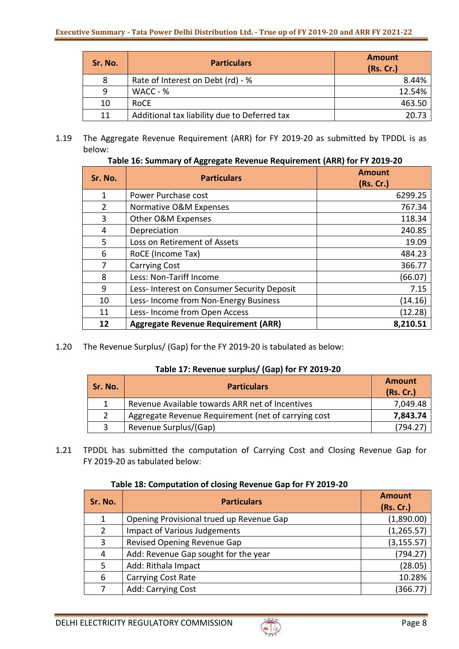| Sr. No. | <b>Particulars</b>                           | <b>Amount</b><br>(Rs. Cr.) |
|---------|----------------------------------------------|----------------------------|
| 8       | Rate of Interest on Debt (rd) - %            | 8.44%                      |
| 9       | WACC - %                                     | 12.54%                     |
| 10      | <b>RoCE</b>                                  | 463.50                     |
| 11      | Additional tax liability due to Deferred tax | 20.73                      |

1.19 The Aggregate Revenue Requirement (ARR) for FY 2019-20 as submitted by TPDDL is as below:

# **Table 16: Summary of Aggregate Revenue Requirement (ARR) for FY 2019-20**

| Sr. No.        | <b>Particulars</b>                          | <b>Amount</b><br>(Rs. Cr.) |
|----------------|---------------------------------------------|----------------------------|
| 1              | Power Purchase cost                         | 6299.25                    |
| $\overline{2}$ | Normative O&M Expenses                      | 767.34                     |
| 3              | Other O&M Expenses                          | 118.34                     |
| 4              | Depreciation                                | 240.85                     |
| 5              | Loss on Retirement of Assets                | 19.09                      |
| 6              | RoCE (Income Tax)                           | 484.23                     |
| 7              | <b>Carrying Cost</b>                        | 366.77                     |
| 8              | Less: Non-Tariff Income                     | (66.07)                    |
| 9              | Less- Interest on Consumer Security Deposit | 7.15                       |
| 10             | Less-Income from Non-Energy Business        | (14.16)                    |
| 11             | Less- Income from Open Access               | (12.28)                    |
| 12             | <b>Aggregate Revenue Requirement (ARR)</b>  | 8,210.51                   |

1.20 The Revenue Surplus/ (Gap) for the FY 2019-20 is tabulated as below:

### **Table 17: Revenue surplus/ (Gap) for FY 2019-20**

| Sr. No. | <b>Particulars</b>                                  | Amount<br>(Rs. Cr.) |
|---------|-----------------------------------------------------|---------------------|
| 1       | Revenue Available towards ARR net of Incentives     | 7,049.48            |
| 2       | Aggregate Revenue Requirement (net of carrying cost | 7,843.74            |
| 3       | Revenue Surplus/(Gap)                               | (794.27             |

1.21 TPDDL has submitted the computation of Carrying Cost and Closing Revenue Gap for FY 2019-20 as tabulated below:

#### **Table 18: Computation of closing Revenue Gap for FY 2019-20**

| Sr. No.       | <b>Particulars</b>                       | <b>Amount</b><br>(Rs. Cr.) |
|---------------|------------------------------------------|----------------------------|
| $\mathbf{1}$  | Opening Provisional trued up Revenue Gap | (1,890.00)                 |
| $\mathcal{P}$ | <b>Impact of Various Judgements</b>      | (1, 265.57)                |
| 3             | Revised Opening Revenue Gap              | (3, 155.57)                |
| 4             | Add: Revenue Gap sought for the year     | (794.27)                   |
| 5             | Add: Rithala Impact                      | (28.05)                    |
| 6             | <b>Carrying Cost Rate</b>                | 10.28%                     |
|               | Add: Carrying Cost                       | (366.77)                   |

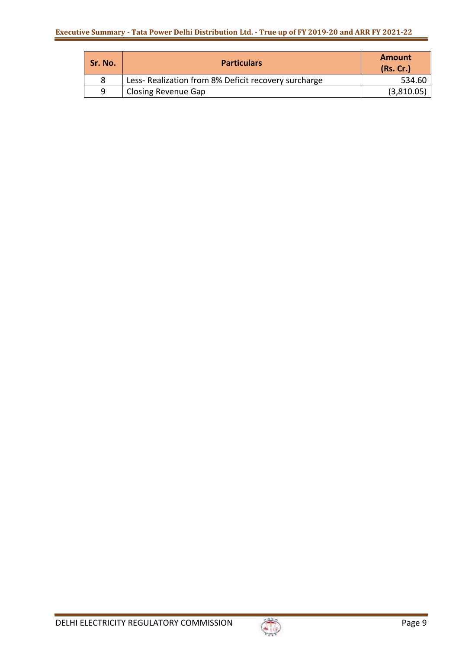| Sr. No. | <b>Particulars</b>                                   | <b>Amount</b><br>(Rs.Cr.) |
|---------|------------------------------------------------------|---------------------------|
|         | Less- Realization from 8% Deficit recovery surcharge | 534.60                    |
| q       | <b>Closing Revenue Gap</b>                           | (3,810.05)                |

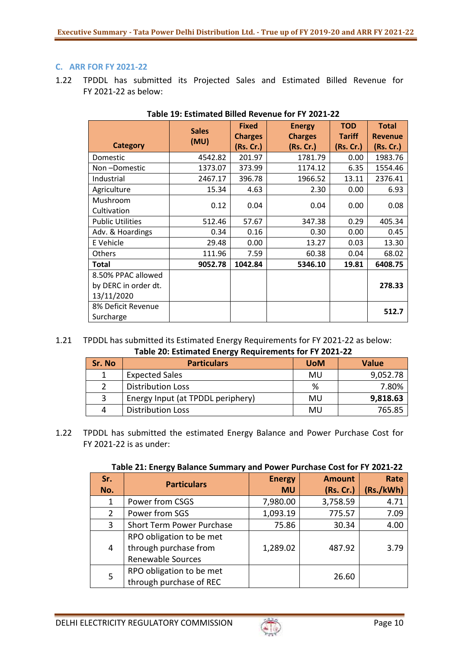## **C. ARR FOR FY 2021-22**

1.22 TPDDL has submitted its Projected Sales and Estimated Billed Revenue for FY 2021-22 as below:

|                         | <b>Sales</b> | <b>Fixed</b><br><b>Charges</b> | <b>Energy</b><br><b>Charges</b> | <b>TOD</b><br><b>Tariff</b> | <b>Total</b><br><b>Revenue</b> |  |
|-------------------------|--------------|--------------------------------|---------------------------------|-----------------------------|--------------------------------|--|
| <b>Category</b>         | (MU)         | (Rs. Cr.)                      | (Rs. Cr.)                       | (Rs. Cr.)                   | (Rs. Cr.)                      |  |
| Domestic                | 4542.82      | 201.97                         | 1781.79                         | 0.00                        | 1983.76                        |  |
| Non-Domestic            | 1373.07      | 373.99                         | 1174.12                         | 6.35                        | 1554.46                        |  |
| Industrial              | 2467.17      | 396.78                         | 1966.52                         | 13.11                       | 2376.41                        |  |
| Agriculture             | 15.34        | 4.63                           | 2.30                            | 0.00                        | 6.93                           |  |
| Mushroom                | 0.12         | 0.04                           | 0.04                            | 0.00                        | 0.08                           |  |
| Cultivation             |              |                                |                                 |                             |                                |  |
| <b>Public Utilities</b> | 512.46       | 57.67                          | 347.38                          | 0.29                        | 405.34                         |  |
| Adv. & Hoardings        | 0.34         | 0.16                           | 0.30                            | 0.00                        | 0.45                           |  |
| E Vehicle               | 29.48        | 0.00                           | 13.27                           | 0.03                        | 13.30                          |  |
| Others                  | 111.96       | 7.59                           | 60.38                           | 0.04                        | 68.02                          |  |
| <b>Total</b>            | 9052.78      | 1042.84                        | 5346.10                         | 19.81                       | 6408.75                        |  |
| 8.50% PPAC allowed      |              |                                |                                 |                             |                                |  |
| by DERC in order dt.    |              |                                |                                 |                             | 278.33                         |  |
| 13/11/2020              |              |                                |                                 |                             |                                |  |
| 8% Deficit Revenue      |              |                                |                                 |                             | 512.7                          |  |
| Surcharge               |              |                                |                                 |                             |                                |  |

#### **Table 19: Estimated Billed Revenue for FY 2021-22**

1.21 TPDDL has submitted its Estimated Energy Requirements for FY 2021-22 as below: **Table 20: Estimated Energy Requirements for FY 2021-22**

| Sr. No | <b>Particulars</b>                | <b>UoM</b> | <b>Value</b> |  |
|--------|-----------------------------------|------------|--------------|--|
|        | <b>Expected Sales</b>             | MU         | 9,052.78     |  |
|        | <b>Distribution Loss</b>          | ℅          | 7.80%        |  |
| 3      | Energy Input (at TPDDL periphery) | MU         | 9,818.63     |  |
| 4      | <b>Distribution Loss</b>          | MU         | 765.85       |  |

1.22 TPDDL has submitted the estimated Energy Balance and Power Purchase Cost for FY 2021-22 is as under:

| Sr.<br>No.   | <b>Particulars</b>                                                            | <b>Energy</b><br><b>MU</b> | <b>Amount</b><br>(Rs. Cr.) | Rate<br>(Rs./kWh) |
|--------------|-------------------------------------------------------------------------------|----------------------------|----------------------------|-------------------|
| 1            | Power from CSGS                                                               | 7,980.00                   | 3,758.59                   | 4.71              |
| $\mathbf{2}$ | Power from SGS                                                                | 1,093.19                   | 775.57                     | 7.09              |
| 3            | <b>Short Term Power Purchase</b>                                              | 75.86                      | 30.34                      | 4.00              |
| 4            | RPO obligation to be met<br>through purchase from<br><b>Renewable Sources</b> | 1,289.02                   | 487.92                     | 3.79              |
| 5            | RPO obligation to be met<br>through purchase of REC                           |                            | 26.60                      |                   |

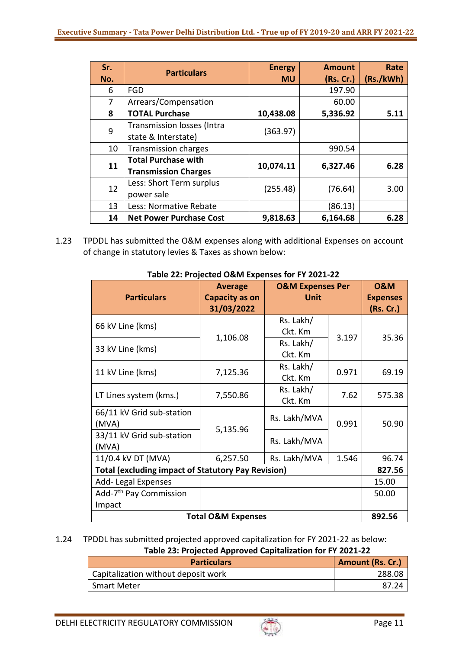| Sr.<br>No.     | <b>Particulars</b>                                        | <b>Energy</b><br><b>MU</b> | <b>Amount</b><br>(Rs. Cr.) | Rate<br>(Rs./kWh) |
|----------------|-----------------------------------------------------------|----------------------------|----------------------------|-------------------|
| 6              | <b>FGD</b>                                                |                            | 197.90                     |                   |
| $\overline{7}$ | Arrears/Compensation                                      |                            | 60.00                      |                   |
| 8              | <b>TOTAL Purchase</b>                                     | 10,438.08                  | 5,336.92                   | 5.11              |
| 9              | <b>Transmission losses (Intra</b><br>state & Interstate)  | (363.97)                   |                            |                   |
| 10             | <b>Transmission charges</b>                               |                            | 990.54                     |                   |
| 11             | <b>Total Purchase with</b><br><b>Transmission Charges</b> | 10,074.11                  | 6,327.46                   | 6.28              |
| 12             | Less: Short Term surplus<br>power sale                    | (255.48)                   | (76.64)                    | 3.00              |
| 13             | Less: Normative Rebate                                    |                            | (86.13)                    |                   |
| 14             | <b>Net Power Purchase Cost</b>                            | 9,818.63                   | 6,164.68                   | 6.28              |

1.23 TPDDL has submitted the O&M expenses along with additional Expenses on account of change in statutory levies & Taxes as shown below:

| <b>Particulars</b>                                        | <b>Average</b><br><b>Capacity as on</b><br>31/03/2022 | <b>O&amp;M Expenses Per</b><br><b>Unit</b> |        | <b>0&amp;M</b><br><b>Expenses</b><br>(Rs. Cr.) |
|-----------------------------------------------------------|-------------------------------------------------------|--------------------------------------------|--------|------------------------------------------------|
| 66 kV Line (kms)                                          |                                                       | Rs. Lakh/                                  |        |                                                |
|                                                           | 1,106.08                                              | Ckt. Km                                    | 3.197  | 35.36                                          |
| 33 kV Line (kms)                                          |                                                       | Rs. Lakh/                                  |        |                                                |
|                                                           |                                                       | Ckt. Km                                    |        |                                                |
| 11 kV Line (kms)                                          | 7,125.36                                              | Rs. Lakh/                                  | 0.971  | 69.19                                          |
|                                                           |                                                       | Ckt. Km                                    |        |                                                |
|                                                           | 7,550.86                                              | Rs. Lakh/                                  | 7.62   |                                                |
| LT Lines system (kms.)                                    |                                                       | Ckt. Km                                    |        | 575.38                                         |
| 66/11 kV Grid sub-station                                 |                                                       |                                            | 0.991  |                                                |
| (MVA)                                                     |                                                       | Rs. Lakh/MVA                               |        | 50.90                                          |
| 33/11 kV Grid sub-station                                 | 5,135.96                                              |                                            |        |                                                |
| (MVA)                                                     |                                                       | Rs. Lakh/MVA                               |        |                                                |
| 11/0.4 kV DT (MVA)                                        | 6,257.50                                              | Rs. Lakh/MVA                               | 1.546  | 96.74                                          |
| <b>Total (excluding impact of Statutory Pay Revision)</b> |                                                       |                                            | 827.56 |                                                |
| Add-Legal Expenses                                        |                                                       |                                            | 15.00  |                                                |
| Add-7 <sup>th</sup> Pay Commission                        |                                                       |                                            |        | 50.00                                          |
| Impact                                                    |                                                       |                                            |        |                                                |
| <b>Total O&amp;M Expenses</b>                             |                                                       |                                            |        | 892.56                                         |

#### **Table 22: Projected O&M Expenses for FY 2021-22**

#### 1.24 TPDDL has submitted projected approved capitalization for FY 2021-22 as below: **Table 23: Projected Approved Capitalization for FY 2021-22**

| Table 29. Trojected Approved Capitalization for FT 2021 22 |                         |  |
|------------------------------------------------------------|-------------------------|--|
| <b>Particulars</b>                                         | <b>Amount (Rs. Cr.)</b> |  |
| Capitalization without deposit work                        | 288.08                  |  |
| <b>Smart Meter</b>                                         | 87.24                   |  |

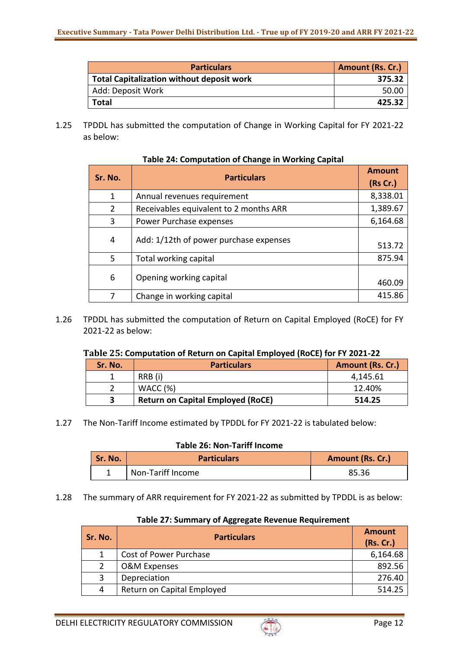| <b>Particulars</b>                               | <b>Amount (Rs. Cr.)</b> |
|--------------------------------------------------|-------------------------|
| <b>Total Capitalization without deposit work</b> | 375.32                  |
| Add: Deposit Work                                | 50.00                   |
| <b>Total</b>                                     | 425.32                  |

1.25 TPDDL has submitted the computation of Change in Working Capital for FY 2021-22 as below:

| Sr. No.       | <b>Particulars</b>                     | <b>Amount</b><br>(Rs Cr.) |
|---------------|----------------------------------------|---------------------------|
| 1             | Annual revenues requirement            | 8,338.01                  |
| $\mathcal{P}$ | Receivables equivalent to 2 months ARR | 1,389.67                  |
| 3             | Power Purchase expenses                | 6,164.68                  |
| 4             | Add: 1/12th of power purchase expenses | 513.72                    |
| 5             | Total working capital                  | 875.94                    |
| 6             | Opening working capital                | 460.09                    |
|               | Change in working capital              | 415.86                    |

# **Table 24: Computation of Change in Working Capital**

1.26 TPDDL has submitted the computation of Return on Capital Employed (RoCE) for FY 2021-22 as below:

#### **Table 25: Computation of Return on Capital Employed (RoCE) for FY 2021-22**

| Sr. No. | <b>Particulars</b>                       | Amount (Rs. Cr.) |
|---------|------------------------------------------|------------------|
|         | RRB (i)                                  | 4,145.61         |
|         | WACC(%)                                  | 12.40%           |
|         | <b>Return on Capital Employed (RoCE)</b> | 514.25           |

1.27 The Non-Tariff Income estimated by TPDDL for FY 2021-22 is tabulated below:

### **Table 26: Non-Tariff Income**

| Sr. No. | <b>Particulars</b> | <b>Amount (Rs. Cr.)</b> |
|---------|--------------------|-------------------------|
|         | Non-Tariff Income  | 85.36                   |

1.28 The summary of ARR requirement for FY 2021-22 as submitted by TPDDL is as below:

| Sr. No. | <b>Particulars</b>         | <b>Amount</b><br>(Rs. Cr.) |
|---------|----------------------------|----------------------------|
|         | Cost of Power Purchase     | 6,164.68                   |
|         | <b>O&amp;M Expenses</b>    | 892.56                     |
| 3       | Depreciation               | 276.40                     |
| 4       | Return on Capital Employed | 514.25                     |

#### **Table 27: Summary of Aggregate Revenue Requirement**

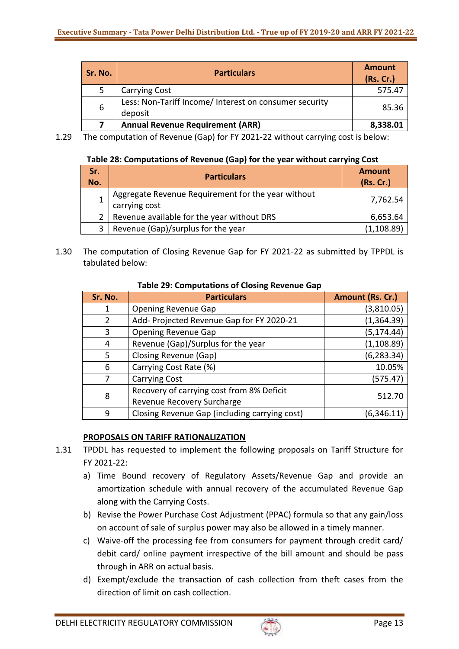| Sr. No. | <b>Particulars</b>                                                | <b>Amount</b><br>(Rs. Cr.) |
|---------|-------------------------------------------------------------------|----------------------------|
|         | <b>Carrying Cost</b>                                              | 575.47                     |
| 6       | Less: Non-Tariff Income/ Interest on consumer security<br>deposit | 85.36                      |
|         | <b>Annual Revenue Requirement (ARR)</b>                           | 8,338.01                   |

1.29 The computation of Revenue (Gap) for FY 2021-22 without carrying cost is below:

## **Table 28: Computations of Revenue (Gap) for the year without carrying Cost**

| Sr.<br>No. | <b>Particulars</b>                                                  | <b>Amount</b><br>(Rs. Cr.) |
|------------|---------------------------------------------------------------------|----------------------------|
|            | Aggregate Revenue Requirement for the year without<br>carrying cost | 7,762.54                   |
|            | Revenue available for the year without DRS                          | 6,653.64                   |
| 3          | Revenue (Gap)/surplus for the year                                  | (1, 108.89)                |

1.30 The computation of Closing Revenue Gap for FY 2021-22 as submitted by TPPDL is tabulated below:

| Sr. No.        | <b>Particulars</b>                            | Amount (Rs. Cr.) |
|----------------|-----------------------------------------------|------------------|
| 1              | <b>Opening Revenue Gap</b>                    | (3,810.05)       |
| $\overline{2}$ | Add- Projected Revenue Gap for FY 2020-21     | (1,364.39)       |
| 3              | <b>Opening Revenue Gap</b>                    | (5, 174.44)      |
| 4              | Revenue (Gap)/Surplus for the year            | (1, 108.89)      |
| 5              | Closing Revenue (Gap)                         | (6, 283.34)      |
| 6              | Carrying Cost Rate (%)                        | 10.05%           |
| 7              | <b>Carrying Cost</b>                          | (575.47)         |
| 8              | Recovery of carrying cost from 8% Deficit     |                  |
|                | Revenue Recovery Surcharge                    | 512.70           |
| 9              | Closing Revenue Gap (including carrying cost) | (6, 346.11)      |

## **Table 29: Computations of Closing Revenue Gap**

# **PROPOSALS ON TARIFF RATIONALIZATION**

- 1.31 TPDDL has requested to implement the following proposals on Tariff Structure for FY 2021-22:
	- a) Time Bound recovery of Regulatory Assets/Revenue Gap and provide an amortization schedule with annual recovery of the accumulated Revenue Gap along with the Carrying Costs.
	- b) Revise the Power Purchase Cost Adjustment (PPAC) formula so that any gain/loss on account of sale of surplus power may also be allowed in a timely manner.
	- c) Waive-off the processing fee from consumers for payment through credit card/ debit card/ online payment irrespective of the bill amount and should be pass through in ARR on actual basis.
	- d) Exempt/exclude the transaction of cash collection from theft cases from the direction of limit on cash collection.